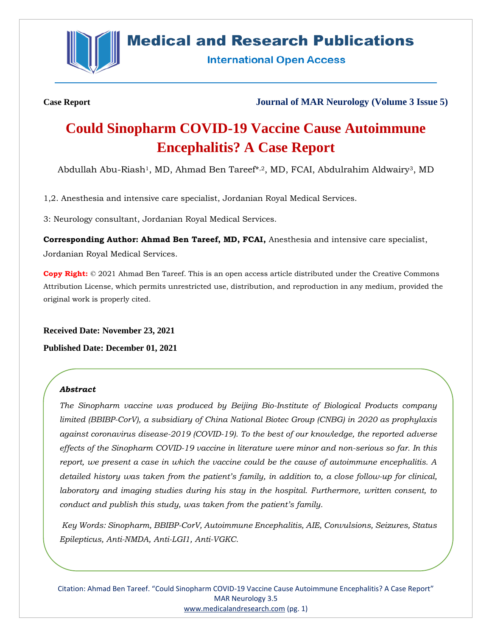

# **Medical and Research Publications**

**International Open Access** 

**Case Report Journal of MAR Neurology (Volume 3 Issue 5)**

# **Could Sinopharm COVID-19 Vaccine Cause Autoimmune Encephalitis? A Case Report**

Abdullah Abu-Riash<sup>1</sup>, MD, Ahmad Ben Tareef\*,2, MD, FCAI, Abdulrahim Aldwairy<sup>3</sup>, MD

1,2. Anesthesia and intensive care specialist, Jordanian Royal Medical Services.

3: Neurology consultant, Jordanian Royal Medical Services.

**Corresponding Author: Ahmad Ben Tareef, MD, FCAI,** Anesthesia and intensive care specialist, Jordanian Royal Medical Services.

**Copy Right:** © 2021 Ahmad Ben Tareef. This is an open access article distributed under the Creative Commons Attribution License, which permits unrestricted use, distribution, and reproduction in any medium, provided the original work is properly cited.

**Received Date: November 23, 2021**

**Published Date: December 01, 2021**

# *Abstract*

*The Sinopharm vaccine was produced by Beijing Bio-Institute of Biological Products company limited (BBIBP-CorV), a subsidiary of China National Biotec Group (CNBG) in 2020 as prophylaxis against coronavirus disease-2019 (COVID-19). To the best of our knowledge, the reported adverse effects of the Sinopharm COVID-19 vaccine in literature were minor and non-serious so far. In this report, we present a case in which the vaccine could be the cause of autoimmune encephalitis. A detailed history was taken from the patient's family, in addition to, a close follow-up for clinical, laboratory and imaging studies during his stay in the hospital. Furthermore, written consent, to conduct and publish this study, was taken from the patient's family.*

*Key Words: Sinopharm, BBIBP-CorV, Autoimmune Encephalitis, AIE, Convulsions, Seizures, Status Epilepticus, Anti-NMDA, Anti-LGI1, Anti-VGKC.*

Citation: Ahmad Ben Tareef. "Could Sinopharm COVID-19 Vaccine Cause Autoimmune Encephalitis? A Case Report" MAR Neurology 3.5 [www.medicalandresearch.com](http://www.medicalandresearch.com/) (pg. 1)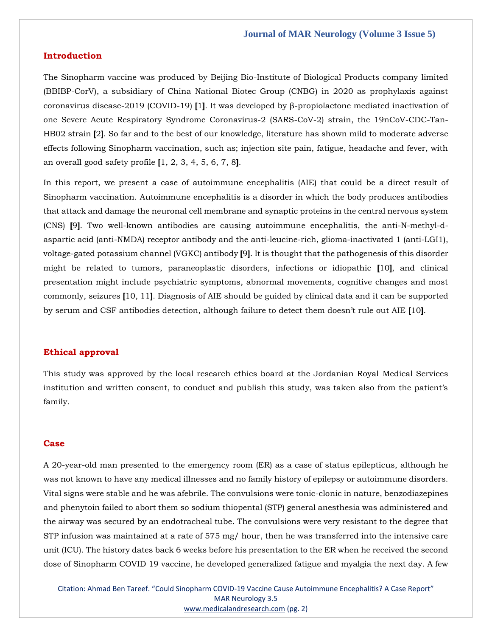#### **Introduction**

The Sinopharm vaccine was produced by Beijing Bio-Institute of Biological Products company limited (BBIBP-CorV), a subsidiary of China National Biotec Group (CNBG) in 2020 as prophylaxis against coronavirus disease-2019 (COVID-19) **[**1**]**. It was developed by β-propiolactone mediated inactivation of one Severe Acute Respiratory Syndrome Coronavirus-2 (SARS-CoV-2) strain, the 19nCoV-CDC-Tan-HB02 strain **[**2**]**. So far and to the best of our knowledge, literature has shown mild to moderate adverse effects following Sinopharm vaccination, such as; injection site pain, fatigue, headache and fever, with an overall good safety profile **[**1, 2, 3, 4, 5, 6, 7, 8**]**.

In this report, we present a case of autoimmune encephalitis (AIE) that could be a direct result of Sinopharm vaccination. Autoimmune encephalitis is a disorder in which the body produces antibodies that attack and damage the neuronal cell membrane and synaptic proteins in the central nervous system (CNS) **[**9**]**. Two well-known antibodies are causing autoimmune encephalitis, the anti-N-methyl-daspartic acid (anti-NMDA) receptor antibody and the anti-leucine-rich, glioma-inactivated 1 (anti-LGI1), voltage-gated potassium channel (VGKC) antibody **[**9**]**. It is thought that the pathogenesis of this disorder might be related to tumors, paraneoplastic disorders, infections or idiopathic **[**10**]**, and clinical presentation might include psychiatric symptoms, abnormal movements, cognitive changes and most commonly, seizures **[**10, 11**]**. Diagnosis of AIE should be guided by clinical data and it can be supported by serum and CSF antibodies detection, although failure to detect them doesn't rule out AIE **[**10**]**.

### **Ethical approval**

This study was approved by the local research ethics board at the Jordanian Royal Medical Services institution and written consent, to conduct and publish this study, was taken also from the patient's family.

#### **Case**

A 20-year-old man presented to the emergency room (ER) as a case of status epilepticus, although he was not known to have any medical illnesses and no family history of epilepsy or autoimmune disorders. Vital signs were stable and he was afebrile. The convulsions were tonic-clonic in nature, benzodiazepines and phenytoin failed to abort them so sodium thiopental (STP) general anesthesia was administered and the airway was secured by an endotracheal tube. The convulsions were very resistant to the degree that STP infusion was maintained at a rate of 575 mg/ hour, then he was transferred into the intensive care unit (ICU). The history dates back 6 weeks before his presentation to the ER when he received the second dose of Sinopharm COVID 19 vaccine, he developed generalized fatigue and myalgia the next day. A few

Citation: Ahmad Ben Tareef. "Could Sinopharm COVID-19 Vaccine Cause Autoimmune Encephalitis? A Case Report" MAR Neurology 3.5 [www.medicalandresearch.com](http://www.medicalandresearch.com/) (pg. 2)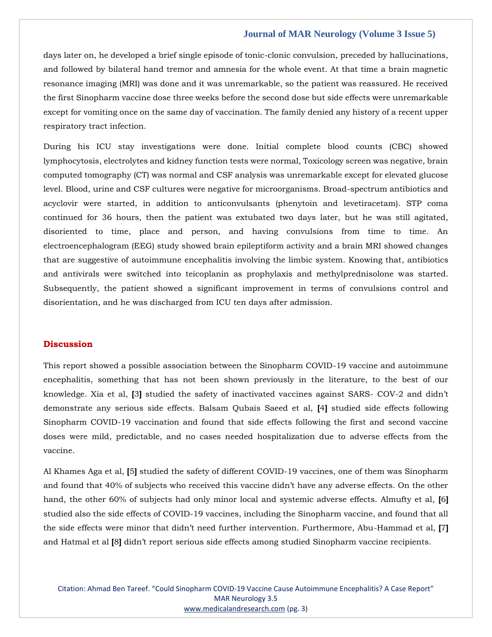# **Journal of MAR Neurology (Volume 3 Issue 5)**

days later on, he developed a brief single episode of tonic-clonic convulsion, preceded by hallucinations, and followed by bilateral hand tremor and amnesia for the whole event. At that time a brain magnetic resonance imaging (MRI) was done and it was unremarkable, so the patient was reassured. He received the first Sinopharm vaccine dose three weeks before the second dose but side effects were unremarkable except for vomiting once on the same day of vaccination. The family denied any history of a recent upper respiratory tract infection.

During his ICU stay investigations were done. Initial complete blood counts (CBC) showed lymphocytosis, electrolytes and kidney function tests were normal, Toxicology screen was negative, brain computed tomography (CT) was normal and CSF analysis was unremarkable except for elevated glucose level. Blood, urine and CSF cultures were negative for microorganisms. Broad-spectrum antibiotics and acyclovir were started, in addition to anticonvulsants (phenytoin and levetiracetam). STP coma continued for 36 hours, then the patient was extubated two days later, but he was still agitated, disoriented to time, place and person, and having convulsions from time to time. An electroencephalogram (EEG) study showed brain epileptiform activity and a brain MRI showed changes that are suggestive of autoimmune encephalitis involving the limbic system. Knowing that, antibiotics and antivirals were switched into teicoplanin as prophylaxis and methylprednisolone was started. Subsequently, the patient showed a significant improvement in terms of convulsions control and disorientation, and he was discharged from ICU ten days after admission.

#### **Discussion**

This report showed a possible association between the Sinopharm COVID-19 vaccine and autoimmune encephalitis, something that has not been shown previously in the literature, to the best of our knowledge. Xia et al, **[**3**]** studied the safety of inactivated vaccines against SARS- COV-2 and didn't demonstrate any serious side effects. Balsam Qubais Saeed et al, **[**4**]** studied side effects following Sinopharm COVID-19 vaccination and found that side effects following the first and second vaccine doses were mild, predictable, and no cases needed hospitalization due to adverse effects from the vaccine.

Al Khames Aga et al, **[**5**]** studied the safety of different COVID-19 vaccines, one of them was Sinopharm and found that 40% of subjects who received this vaccine didn't have any adverse effects. On the other hand, the other 60% of subjects had only minor local and systemic adverse effects. Almufty et al, **[**6**]** studied also the side effects of COVID-19 vaccines, including the Sinopharm vaccine, and found that all the side effects were minor that didn't need further intervention. Furthermore, Abu-Hammad et al, **[**7**]** and Hatmal et al **[**8**]** didn't report serious side effects among studied Sinopharm vaccine recipients.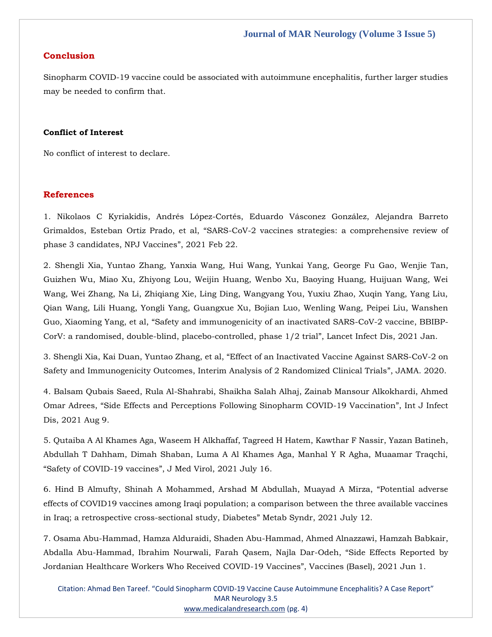# **Conclusion**

Sinopharm COVID-19 vaccine could be associated with autoimmune encephalitis, further larger studies may be needed to confirm that.

# **Conflict of Interest**

No conflict of interest to declare.

# **References**

1. [Nikolaos C Kyriakidis, Andrés López-Cortés, Eduardo Vásconez González, Alejandra Barreto](https://www.google.com/search?q=SARS-CoV-2+vaccines+strategies%3A+a+comprehensive+review+of+phase+3+candidates%2C+NPJ+Vaccines&oq=SARS-CoV-2+vaccines+strategies%3A+a+comprehensive+review+of+phase+3+candidates%2C+NPJ+Vaccines&aqs=chrome..69i57.1133j0j7&sourceid=chrome&ie=UTF-8)  Grimaldos, Esteban Ortiz Prado, et al, "SARS[-CoV-2 vaccines strategies: a comprehensive review of](https://www.google.com/search?q=SARS-CoV-2+vaccines+strategies%3A+a+comprehensive+review+of+phase+3+candidates%2C+NPJ+Vaccines&oq=SARS-CoV-2+vaccines+strategies%3A+a+comprehensive+review+of+phase+3+candidates%2C+NPJ+Vaccines&aqs=chrome..69i57.1133j0j7&sourceid=chrome&ie=UTF-8)  [phase 3 candidates, NPJ Vaccines](https://www.google.com/search?q=SARS-CoV-2+vaccines+strategies%3A+a+comprehensive+review+of+phase+3+candidates%2C+NPJ+Vaccines&oq=SARS-CoV-2+vaccines+strategies%3A+a+comprehensive+review+of+phase+3+candidates%2C+NPJ+Vaccines&aqs=chrome..69i57.1133j0j7&sourceid=chrome&ie=UTF-8)", 2021 Feb 22.

2. [Shengli Xia, Yuntao Zhang, Yanxia Wang, Hui Wang, Yunkai Yang, George Fu Gao, Wenjie Tan,](https://www.google.com/search?q=Safety+and+immunogenicity+of+an+inactivated+SARS-CoV-2+vaccine%2C+BBIBP-CorV%3A+a+randomised%2C+double-blind%2C+placebo-controlled%2C+phase+1%2F2+trial&sxsrf=AOaemvKJsqtj8jmIh2YMdx7gI3E3i8TYKw%3A1638165997408&ei=7W2kYcCwGLGV4-EPteijkAg&ved=0ahUKEwiA2-7y87z0AhWxyjgGHTX0CIIQ4dUDCA4&uact=5&oq=Safety+and+immunogenicity+of+an+inactivated+SARS-CoV-2+vaccine%2C+BBIBP-CorV%3A+a+randomised%2C+double-blind%2C+placebo-controlled%2C+phase+1%2F2+trial&gs_lcp=Cgdnd3Mtd2l6EAMyBwgjEOoCECcyBwgjEOoCECcyBwgjEOoCECcyBwgjEOoCECcyBwgjEOoCECcyBwgjEOoCECcyBwgjEOoCECcyBwgjEOoCECcyBwgjEOoCECcyBwgjEOoCECdKBAhBGABQlQZYlQZgzQloAXACeACAAQCIAQCSAQCYAQCgAQGgAQKwAQrAAQE&sclient=gws-wiz)  [Guizhen Wu, Miao Xu, Zhiyong Lou, Weijin Huang, Wenbo Xu, Baoying Huang, Huijuan Wang, Wei](https://www.google.com/search?q=Safety+and+immunogenicity+of+an+inactivated+SARS-CoV-2+vaccine%2C+BBIBP-CorV%3A+a+randomised%2C+double-blind%2C+placebo-controlled%2C+phase+1%2F2+trial&sxsrf=AOaemvKJsqtj8jmIh2YMdx7gI3E3i8TYKw%3A1638165997408&ei=7W2kYcCwGLGV4-EPteijkAg&ved=0ahUKEwiA2-7y87z0AhWxyjgGHTX0CIIQ4dUDCA4&uact=5&oq=Safety+and+immunogenicity+of+an+inactivated+SARS-CoV-2+vaccine%2C+BBIBP-CorV%3A+a+randomised%2C+double-blind%2C+placebo-controlled%2C+phase+1%2F2+trial&gs_lcp=Cgdnd3Mtd2l6EAMyBwgjEOoCECcyBwgjEOoCECcyBwgjEOoCECcyBwgjEOoCECcyBwgjEOoCECcyBwgjEOoCECcyBwgjEOoCECcyBwgjEOoCECcyBwgjEOoCECcyBwgjEOoCECdKBAhBGABQlQZYlQZgzQloAXACeACAAQCIAQCSAQCYAQCgAQGgAQKwAQrAAQE&sclient=gws-wiz)  [Wang, Wei Zhang, Na Li, Zhiqiang Xie, Ling Ding, Wangyang You, Yuxiu Zhao, Xuqin Yang, Yang Liu,](https://www.google.com/search?q=Safety+and+immunogenicity+of+an+inactivated+SARS-CoV-2+vaccine%2C+BBIBP-CorV%3A+a+randomised%2C+double-blind%2C+placebo-controlled%2C+phase+1%2F2+trial&sxsrf=AOaemvKJsqtj8jmIh2YMdx7gI3E3i8TYKw%3A1638165997408&ei=7W2kYcCwGLGV4-EPteijkAg&ved=0ahUKEwiA2-7y87z0AhWxyjgGHTX0CIIQ4dUDCA4&uact=5&oq=Safety+and+immunogenicity+of+an+inactivated+SARS-CoV-2+vaccine%2C+BBIBP-CorV%3A+a+randomised%2C+double-blind%2C+placebo-controlled%2C+phase+1%2F2+trial&gs_lcp=Cgdnd3Mtd2l6EAMyBwgjEOoCECcyBwgjEOoCECcyBwgjEOoCECcyBwgjEOoCECcyBwgjEOoCECcyBwgjEOoCECcyBwgjEOoCECcyBwgjEOoCECcyBwgjEOoCECcyBwgjEOoCECdKBAhBGABQlQZYlQZgzQloAXACeACAAQCIAQCSAQCYAQCgAQGgAQKwAQrAAQE&sclient=gws-wiz)  [Qian Wang, Lili Huang, Yongli Yang, Guangxue Xu, Bojian Luo, Wenling Wang, Peipei Liu, Wanshen](https://www.google.com/search?q=Safety+and+immunogenicity+of+an+inactivated+SARS-CoV-2+vaccine%2C+BBIBP-CorV%3A+a+randomised%2C+double-blind%2C+placebo-controlled%2C+phase+1%2F2+trial&sxsrf=AOaemvKJsqtj8jmIh2YMdx7gI3E3i8TYKw%3A1638165997408&ei=7W2kYcCwGLGV4-EPteijkAg&ved=0ahUKEwiA2-7y87z0AhWxyjgGHTX0CIIQ4dUDCA4&uact=5&oq=Safety+and+immunogenicity+of+an+inactivated+SARS-CoV-2+vaccine%2C+BBIBP-CorV%3A+a+randomised%2C+double-blind%2C+placebo-controlled%2C+phase+1%2F2+trial&gs_lcp=Cgdnd3Mtd2l6EAMyBwgjEOoCECcyBwgjEOoCECcyBwgjEOoCECcyBwgjEOoCECcyBwgjEOoCECcyBwgjEOoCECcyBwgjEOoCECcyBwgjEOoCECcyBwgjEOoCECcyBwgjEOoCECdKBAhBGABQlQZYlQZgzQloAXACeACAAQCIAQCSAQCYAQCgAQGgAQKwAQrAAQE&sclient=gws-wiz)  Guo, Xiaoming Yang, et al, "[Safety and immunogenicity of an inactivated SARS-CoV-2 vaccine, BBIBP-](https://www.google.com/search?q=Safety+and+immunogenicity+of+an+inactivated+SARS-CoV-2+vaccine%2C+BBIBP-CorV%3A+a+randomised%2C+double-blind%2C+placebo-controlled%2C+phase+1%2F2+trial&sxsrf=AOaemvKJsqtj8jmIh2YMdx7gI3E3i8TYKw%3A1638165997408&ei=7W2kYcCwGLGV4-EPteijkAg&ved=0ahUKEwiA2-7y87z0AhWxyjgGHTX0CIIQ4dUDCA4&uact=5&oq=Safety+and+immunogenicity+of+an+inactivated+SARS-CoV-2+vaccine%2C+BBIBP-CorV%3A+a+randomised%2C+double-blind%2C+placebo-controlled%2C+phase+1%2F2+trial&gs_lcp=Cgdnd3Mtd2l6EAMyBwgjEOoCECcyBwgjEOoCECcyBwgjEOoCECcyBwgjEOoCECcyBwgjEOoCECcyBwgjEOoCECcyBwgjEOoCECcyBwgjEOoCECcyBwgjEOoCECcyBwgjEOoCECdKBAhBGABQlQZYlQZgzQloAXACeACAAQCIAQCSAQCYAQCgAQGgAQKwAQrAAQE&sclient=gws-wiz)[CorV: a randomised, double-blind, placebo-controlled, phase 1/2 trial](https://www.google.com/search?q=Safety+and+immunogenicity+of+an+inactivated+SARS-CoV-2+vaccine%2C+BBIBP-CorV%3A+a+randomised%2C+double-blind%2C+placebo-controlled%2C+phase+1%2F2+trial&sxsrf=AOaemvKJsqtj8jmIh2YMdx7gI3E3i8TYKw%3A1638165997408&ei=7W2kYcCwGLGV4-EPteijkAg&ved=0ahUKEwiA2-7y87z0AhWxyjgGHTX0CIIQ4dUDCA4&uact=5&oq=Safety+and+immunogenicity+of+an+inactivated+SARS-CoV-2+vaccine%2C+BBIBP-CorV%3A+a+randomised%2C+double-blind%2C+placebo-controlled%2C+phase+1%2F2+trial&gs_lcp=Cgdnd3Mtd2l6EAMyBwgjEOoCECcyBwgjEOoCECcyBwgjEOoCECcyBwgjEOoCECcyBwgjEOoCECcyBwgjEOoCECcyBwgjEOoCECcyBwgjEOoCECcyBwgjEOoCECcyBwgjEOoCECdKBAhBGABQlQZYlQZgzQloAXACeACAAQCIAQCSAQCYAQCgAQGgAQKwAQrAAQE&sclient=gws-wiz)", Lancet Infect Dis, 2021 Jan.

3. Shengli Xia, Kai Duan, Yuntao Zhang, et al, "[Effect of an Inactivated Vaccine Against SARS-CoV-2 on](https://www.google.com/search?q=Effect+of+an+Inactivated+Vaccine+Against+SARS-CoV-2+on+Safety+and+Immunogenicity+Outcomes%2C+Interim+Analysis+of+2+Randomized+Clinical+Trials&sxsrf=AOaemvLfoekA4fRtDOyiYJ-mvg3pHsxAbw%3A1638166018163&ei=Am6kYZO2CcyG4-EPwp2C8A4&ved=0ahUKEwiTv-H887z0AhVMwzgGHcKOAO4Q4dUDCA4&uact=5&oq=Effect+of+an+Inactivated+Vaccine+Against+SARS-CoV-2+on+Safety+and+Immunogenicity+Outcomes%2C+Interim+Analysis+of+2+Randomized+Clinical+Trials&gs_lcp=Cgdnd3Mtd2l6EAMyBwgjEOoCECcyBwgjEOoCECcyBwgjEOoCECcyBwgjEOoCECcyBwgjEOoCECcyBwgjEOoCECcyBwgjEOoCECcyBwgjEOoCECcyBwgjEOoCECcyBwgjEOoCECdKBAhBGABQqAVYqAVg1QdoAXACeACAAQCIAQCSAQCYAQCgAQGgAQKwAQrAAQE&sclient=gws-wiz)  [Safety and Immunogenicity Outcomes, Interim Analysis of 2 Randomized Clinical Trials](https://www.google.com/search?q=Effect+of+an+Inactivated+Vaccine+Against+SARS-CoV-2+on+Safety+and+Immunogenicity+Outcomes%2C+Interim+Analysis+of+2+Randomized+Clinical+Trials&sxsrf=AOaemvLfoekA4fRtDOyiYJ-mvg3pHsxAbw%3A1638166018163&ei=Am6kYZO2CcyG4-EPwp2C8A4&ved=0ahUKEwiTv-H887z0AhVMwzgGHcKOAO4Q4dUDCA4&uact=5&oq=Effect+of+an+Inactivated+Vaccine+Against+SARS-CoV-2+on+Safety+and+Immunogenicity+Outcomes%2C+Interim+Analysis+of+2+Randomized+Clinical+Trials&gs_lcp=Cgdnd3Mtd2l6EAMyBwgjEOoCECcyBwgjEOoCECcyBwgjEOoCECcyBwgjEOoCECcyBwgjEOoCECcyBwgjEOoCECcyBwgjEOoCECcyBwgjEOoCECcyBwgjEOoCECcyBwgjEOoCECdKBAhBGABQqAVYqAVg1QdoAXACeACAAQCIAQCSAQCYAQCgAQGgAQKwAQrAAQE&sclient=gws-wiz)", JAMA. 2020.

4. [Balsam Qubais Saeed, Rula Al-Shahrabi, Shaikha Salah Alhaj, Zainab Mansour Alkokhardi, Ahmed](https://www.google.com/search?q=Side+Effects+and+Perceptions+Following+Sinopharm+COVID-19+Vaccination&sxsrf=AOaemvJNXeJkAS2MgivKgJLkvIgrrQ0eJg%3A1638166293081&ei=FW-kYeKmBNiYseMPtsy3kAc&ved=0ahUKEwiihe3_9Lz0AhVYTGwGHTbmDXIQ4dUDCA4&uact=5&oq=Side+Effects+and+Perceptions+Following+Sinopharm+COVID-19+Vaccination&gs_lcp=Cgdnd3Mtd2l6EAMyBwgjEOoCECcyBwgjEOoCECcyBwgjEOoCECcyBwgjEOoCECcyBwgjEOoCECcyBwgjEOoCECcyBwgjEOoCECcyBwgjEOoCECcyBwgjEOoCECcyBwgjEOoCECdKBAhBGABQgwhYgwhg3wpoAXACeACAAQCIAQCSAQCYAQCgAQGgAQKwAQrAAQE&sclient=gws-wiz)  Omar Adrees, "[Side Effects and Perceptions Following Sinopharm COVID-19 Vaccination](https://www.google.com/search?q=Side+Effects+and+Perceptions+Following+Sinopharm+COVID-19+Vaccination&sxsrf=AOaemvJNXeJkAS2MgivKgJLkvIgrrQ0eJg%3A1638166293081&ei=FW-kYeKmBNiYseMPtsy3kAc&ved=0ahUKEwiihe3_9Lz0AhVYTGwGHTbmDXIQ4dUDCA4&uact=5&oq=Side+Effects+and+Perceptions+Following+Sinopharm+COVID-19+Vaccination&gs_lcp=Cgdnd3Mtd2l6EAMyBwgjEOoCECcyBwgjEOoCECcyBwgjEOoCECcyBwgjEOoCECcyBwgjEOoCECcyBwgjEOoCECcyBwgjEOoCECcyBwgjEOoCECcyBwgjEOoCECcyBwgjEOoCECdKBAhBGABQgwhYgwhg3wpoAXACeACAAQCIAQCSAQCYAQCgAQGgAQKwAQrAAQE&sclient=gws-wiz)", Int J Infect [Dis, 2021 Aug 9.](https://www.google.com/search?q=Side+Effects+and+Perceptions+Following+Sinopharm+COVID-19+Vaccination&sxsrf=AOaemvJNXeJkAS2MgivKgJLkvIgrrQ0eJg%3A1638166293081&ei=FW-kYeKmBNiYseMPtsy3kAc&ved=0ahUKEwiihe3_9Lz0AhVYTGwGHTbmDXIQ4dUDCA4&uact=5&oq=Side+Effects+and+Perceptions+Following+Sinopharm+COVID-19+Vaccination&gs_lcp=Cgdnd3Mtd2l6EAMyBwgjEOoCECcyBwgjEOoCECcyBwgjEOoCECcyBwgjEOoCECcyBwgjEOoCECcyBwgjEOoCECcyBwgjEOoCECcyBwgjEOoCECcyBwgjEOoCECcyBwgjEOoCECdKBAhBGABQgwhYgwhg3wpoAXACeACAAQCIAQCSAQCYAQCgAQGgAQKwAQrAAQE&sclient=gws-wiz)

5. Qutaiba A Al Khames Aga, Waseem H [Alkhaffaf, Tagreed H Hatem, Kawthar F Nassir, Yazan Batineh,](https://www.google.com/search?q=Safety+of+COVID-19+vaccines&sxsrf=AOaemvJ1x4mVfaNHEjbDhN8eZ7KjNtHdSw%3A1638166310908&ei=Jm-kYfPaNomF4-EP8IiS8Aw&ved=0ahUKEwjzha2I9bz0AhWJwjgGHXCEBM4Q4dUDCA4&uact=5&oq=Safety+of+COVID-19+vaccines&gs_lcp=Cgdnd3Mtd2l6EAM6BwgjEOoCECdKBAhBGABQjQZYjQZguQloAXACeACAAcMCiAHDApIBAzMtMZgBAKABAaABArABCsABAQ&sclient=gws-wiz)  [Abdullah T Dahham, Dimah Shaban, Luma A Al Khames Aga, Manhal Y R Agha, Muaamar Traqchi,](https://www.google.com/search?q=Safety+of+COVID-19+vaccines&sxsrf=AOaemvJ1x4mVfaNHEjbDhN8eZ7KjNtHdSw%3A1638166310908&ei=Jm-kYfPaNomF4-EP8IiS8Aw&ved=0ahUKEwjzha2I9bz0AhWJwjgGHXCEBM4Q4dUDCA4&uact=5&oq=Safety+of+COVID-19+vaccines&gs_lcp=Cgdnd3Mtd2l6EAM6BwgjEOoCECdKBAhBGABQjQZYjQZguQloAXACeACAAcMCiAHDApIBAzMtMZgBAKABAaABArABCsABAQ&sclient=gws-wiz)  "[Safety of COVID-19 vaccines](https://www.google.com/search?q=Safety+of+COVID-19+vaccines&sxsrf=AOaemvJ1x4mVfaNHEjbDhN8eZ7KjNtHdSw%3A1638166310908&ei=Jm-kYfPaNomF4-EP8IiS8Aw&ved=0ahUKEwjzha2I9bz0AhWJwjgGHXCEBM4Q4dUDCA4&uact=5&oq=Safety+of+COVID-19+vaccines&gs_lcp=Cgdnd3Mtd2l6EAM6BwgjEOoCECdKBAhBGABQjQZYjQZguQloAXACeACAAcMCiAHDApIBAzMtMZgBAKABAaABArABCsABAQ&sclient=gws-wiz)", J Med Virol, 2021 July 16.

6. [Hind B Almufty, Shinah A Mohammed, Arshad M Abdullah, Muayad A Mirza,](https://www.google.com/search?q=Potential+adverse+effects+of+COVID19+vaccines+among+Iraqi+population%3B+a+comparison+between+the+three+available+vaccines+in+Iraq%3B+a+retrospective+cross-sectional+study%2C+Diabetes&sxsrf=AOaemvLEc05XXTYUYiNfHFyJvvkWhfrSuQ%3A1638166457262&ei=uW-kYd21D-KP4-EP04aOqAk&ved=0ahUKEwid9pHO9bz0AhXixzgGHVODA5UQ4dUDCA4&uact=5&oq=Potential+adverse+effects+of+COVID19+vaccines+among+Iraqi+population%3B+a+comparison+between+the+three+available+vaccines+in+Iraq%3B+a+retrospective+cross-sectional+study%2C+Diabetes&gs_lcp=Cgdnd3Mtd2l6EAMyBwgjEOoCECcyBwgjEOoCECcyBwgjEOoCECcyBwgjEOoCECcyBwgjEOoCECcyBwgjEOoCECcyBwgjEOoCECcyBwgjEOoCECcyBwgjEOoCECcyBwgjEOoCECdKBAhBGABQuwVYuwVgwwdoAXAAeACAAQCIAQCSAQCYAQCgAQGgAQKwAQrAAQE&sclient=gws-wiz) "Potential adverse [effects of COVID19 vaccines among Iraqi population; a comparison between the three available vaccines](https://www.google.com/search?q=Potential+adverse+effects+of+COVID19+vaccines+among+Iraqi+population%3B+a+comparison+between+the+three+available+vaccines+in+Iraq%3B+a+retrospective+cross-sectional+study%2C+Diabetes&sxsrf=AOaemvLEc05XXTYUYiNfHFyJvvkWhfrSuQ%3A1638166457262&ei=uW-kYd21D-KP4-EP04aOqAk&ved=0ahUKEwid9pHO9bz0AhXixzgGHVODA5UQ4dUDCA4&uact=5&oq=Potential+adverse+effects+of+COVID19+vaccines+among+Iraqi+population%3B+a+comparison+between+the+three+available+vaccines+in+Iraq%3B+a+retrospective+cross-sectional+study%2C+Diabetes&gs_lcp=Cgdnd3Mtd2l6EAMyBwgjEOoCECcyBwgjEOoCECcyBwgjEOoCECcyBwgjEOoCECcyBwgjEOoCECcyBwgjEOoCECcyBwgjEOoCECcyBwgjEOoCECcyBwgjEOoCECcyBwgjEOoCECdKBAhBGABQuwVYuwVgwwdoAXAAeACAAQCIAQCSAQCYAQCgAQGgAQKwAQrAAQE&sclient=gws-wiz)  [in Iraq; a retrospective cross-sectional study, Diabetes](https://www.google.com/search?q=Potential+adverse+effects+of+COVID19+vaccines+among+Iraqi+population%3B+a+comparison+between+the+three+available+vaccines+in+Iraq%3B+a+retrospective+cross-sectional+study%2C+Diabetes&sxsrf=AOaemvLEc05XXTYUYiNfHFyJvvkWhfrSuQ%3A1638166457262&ei=uW-kYd21D-KP4-EP04aOqAk&ved=0ahUKEwid9pHO9bz0AhXixzgGHVODA5UQ4dUDCA4&uact=5&oq=Potential+adverse+effects+of+COVID19+vaccines+among+Iraqi+population%3B+a+comparison+between+the+three+available+vaccines+in+Iraq%3B+a+retrospective+cross-sectional+study%2C+Diabetes&gs_lcp=Cgdnd3Mtd2l6EAMyBwgjEOoCECcyBwgjEOoCECcyBwgjEOoCECcyBwgjEOoCECcyBwgjEOoCECcyBwgjEOoCECcyBwgjEOoCECcyBwgjEOoCECcyBwgjEOoCECcyBwgjEOoCECdKBAhBGABQuwVYuwVgwwdoAXAAeACAAQCIAQCSAQCYAQCgAQGgAQKwAQrAAQE&sclient=gws-wiz)" Metab Syndr, 2021 July 12.

7. [Osama Abu-Hammad, Hamza Alduraidi, Shaden Abu-Hammad, Ahmed Alnazzawi, Hamzah Babkair,](https://www.google.com/search?q=Side+Effects+Reported+by+Jordanian+Healthcare+Workers+Who+Received+COVID-19+Vaccines&sxsrf=AOaemvKJ_grJCQKZ7Xy569BszfMu8salJw%3A1638166482937&ei=0m-kYb_MOKyY4-EPxPygoAo&ved=0ahUKEwi__bDa9bz0AhUszDgGHUQ-CKQQ4dUDCA4&uact=5&oq=Side+Effects+Reported+by+Jordanian+Healthcare+Workers+Who+Received+COVID-19+Vaccines&gs_lcp=Cgdnd3Mtd2l6EAMyBQgAEIAEOgcIIxDqAhAnSgQIQRgAULAFWLAFYMgHaAFwAngAgAHNAYgBzQGSAQMyLTGYAQCgAQGgAQKwAQrAAQE&sclient=gws-wiz)  [Abdalla Abu-Hammad, Ibrahim Nourwali, Farah Qasem, Najla Dar-Odeh,](https://www.google.com/search?q=Side+Effects+Reported+by+Jordanian+Healthcare+Workers+Who+Received+COVID-19+Vaccines&sxsrf=AOaemvKJ_grJCQKZ7Xy569BszfMu8salJw%3A1638166482937&ei=0m-kYb_MOKyY4-EPxPygoAo&ved=0ahUKEwi__bDa9bz0AhUszDgGHUQ-CKQQ4dUDCA4&uact=5&oq=Side+Effects+Reported+by+Jordanian+Healthcare+Workers+Who+Received+COVID-19+Vaccines&gs_lcp=Cgdnd3Mtd2l6EAMyBQgAEIAEOgcIIxDqAhAnSgQIQRgAULAFWLAFYMgHaAFwAngAgAHNAYgBzQGSAQMyLTGYAQCgAQGgAQKwAQrAAQE&sclient=gws-wiz) "Side Effects Reported by [Jordanian Healthcare Workers Who Received COVID-19 Vaccines](https://www.google.com/search?q=Side+Effects+Reported+by+Jordanian+Healthcare+Workers+Who+Received+COVID-19+Vaccines&sxsrf=AOaemvKJ_grJCQKZ7Xy569BszfMu8salJw%3A1638166482937&ei=0m-kYb_MOKyY4-EPxPygoAo&ved=0ahUKEwi__bDa9bz0AhUszDgGHUQ-CKQQ4dUDCA4&uact=5&oq=Side+Effects+Reported+by+Jordanian+Healthcare+Workers+Who+Received+COVID-19+Vaccines&gs_lcp=Cgdnd3Mtd2l6EAMyBQgAEIAEOgcIIxDqAhAnSgQIQRgAULAFWLAFYMgHaAFwAngAgAHNAYgBzQGSAQMyLTGYAQCgAQGgAQKwAQrAAQE&sclient=gws-wiz)", Vaccines (Basel), 2021 Jun 1.